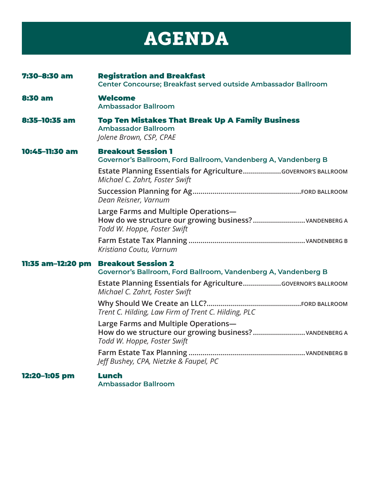## AGENDA

| 7:30-8:30 am      | <b>Registration and Breakfast</b><br>Center Concourse; Breakfast served outside Ambassador Ballroom                                                                                            |
|-------------------|------------------------------------------------------------------------------------------------------------------------------------------------------------------------------------------------|
| <b>8:30 am</b>    | <b>Welcome</b><br><b>Ambassador Ballroom</b>                                                                                                                                                   |
| 8:35-10:35 am     | <b>Top Ten Mistakes That Break Up A Family Business</b><br><b>Ambassador Ballroom</b><br>Jolene Brown, CSP, CPAE                                                                               |
| 10:45-11:30 am    | <b>Breakout Session 1</b><br>Governor's Ballroom, Ford Ballroom, Vandenberg A, Vandenberg B<br>Estate Planning Essentials for AgricultureGOVERNOR'S BALLROOM<br>Michael C. Zahrt, Foster Swift |
|                   | Dean Reisner, Varnum                                                                                                                                                                           |
|                   | Large Farms and Multiple Operations-<br>Todd W. Hoppe, Foster Swift                                                                                                                            |
|                   | Kristiana Coutu, Varnum                                                                                                                                                                        |
| 11:35 am-12:20 pm | <b>Breakout Session 2</b><br>Governor's Ballroom, Ford Ballroom, Vandenberg A, Vandenberg B                                                                                                    |
|                   | Estate Planning Essentials for AgricultureGOVERNOR'S BALLROOM<br>Michael C. Zahrt, Foster Swift                                                                                                |
|                   | Trent C. Hilding, Law Firm of Trent C. Hilding, PLC                                                                                                                                            |
|                   | Large Farms and Multiple Operations-<br>How do we structure our growing business?vANDENBERG A<br>Todd W. Hoppe, Foster Swift                                                                   |
|                   | Jeff Bushey, CPA, Nietzke & Faupel, PC                                                                                                                                                         |
| 12:20-1:05 pm     | Lunch<br><b>Ambassador Ballroom</b>                                                                                                                                                            |